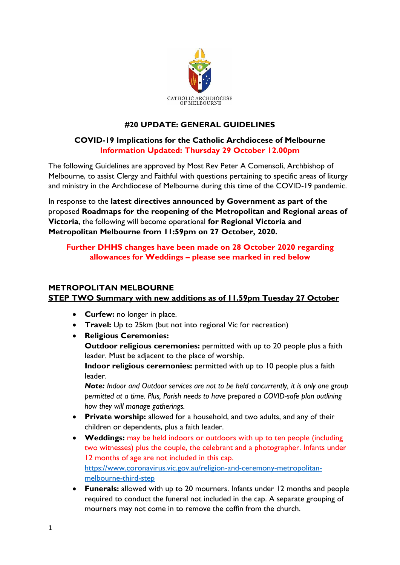

# **#20 UPDATE: GENERAL GUIDELINES**

## **COVID-19 Implications for the Catholic Archdiocese of Melbourne Information Updated: Thursday 29 October 12.00pm**

The following Guidelines are approved by Most Rev Peter A Comensoli, Archbishop of Melbourne, to assist Clergy and Faithful with questions pertaining to specific areas of liturgy and ministry in the Archdiocese of Melbourne during this time of the COVID-19 pandemic.

In response to the **latest directives announced by Government as part of the**  proposed **Roadmaps for the reopening of the Metropolitan and Regional areas of Victoria**, the following will become operational **for Regional Victoria and Metropolitan Melbourne from 11:59pm on 27 October, 2020.**

## **Further DHHS changes have been made on 28 October 2020 regarding allowances for Weddings – please see marked in red below**

### **METROPOLITAN MELBOURNE**

## **STEP TWO Summary with new additions as of 11.59pm Tuesday 27 October**

- **Curfew:** no longer in place.
- **Travel:** Up to 25km (but not into regional Vic for recreation)
- **Religious Ceremonies:**

**Outdoor religious ceremonies:** permitted with up to 20 people plus a faith leader. Must be adjacent to the place of worship.

**Indoor religious ceremonies:** permitted with up to 10 people plus a faith leader.

*Note: Indoor and Outdoor services are not to be held concurrently, it is only one group permitted at a time. Plus, Parish needs to have prepared a COVID-safe plan outlining how they will manage gatherings.*

- **Private worship:** allowed for a household, and two adults, and any of their children or dependents, plus a faith leader.
- **Weddings:** may be held indoors or outdoors with up to ten people (including two witnesses) plus the couple, the celebrant and a photographer. Infants under 12 months of age are not included in this cap. [https://www.coronavirus.vic.gov.au/religion-and-ceremony-metropolitan](https://www.coronavirus.vic.gov.au/religion-and-ceremony-metropolitan-melbourne-third-step)[melbourne-third-step](https://www.coronavirus.vic.gov.au/religion-and-ceremony-metropolitan-melbourne-third-step)
- **Funerals:** allowed with up to 20 mourners. Infants under 12 months and people required to conduct the funeral not included in the cap. A separate grouping of mourners may not come in to remove the coffin from the church.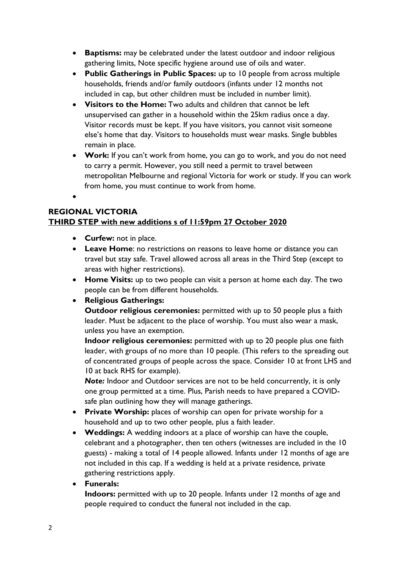- **Baptisms:** may be celebrated under the latest outdoor and indoor religious gathering limits, Note specific hygiene around use of oils and water.
- **Public Gatherings in Public Spaces:** up to 10 people from across multiple households, friends and/or family outdoors (infants under 12 months not included in cap, but other children must be included in number limit).
- **Visitors to the Home:** Two adults and children that cannot be left unsupervised can gather in a household within the 25km radius once a day. Visitor records must be kept. If you have visitors, you cannot visit someone else's home that day. Visitors to households must wear masks. Single bubbles remain in place.
- **Work:** If you can't work from home, you can go to work, and you do not need to carry a permit. However, you still need a permit to travel between metropolitan Melbourne and regional Victoria for work or study. If you can work from home, you must continue to work from home.

 $\bullet$ 

## **REGIONAL VICTORIA**

# **THIRD STEP with new additions s of 11:59pm 27 October 2020**

- **Curfew:** not in place.
- **Leave Home**: no restrictions on reasons to leave home or distance you can travel but stay safe. Travel allowed across all areas in the Third Step (except to areas with higher restrictions).
- **Home Visits:** up to two people can visit a person at home each day. The two people can be from different households.

# **Religious Gatherings:**

**Outdoor religious ceremonies:** permitted with up to 50 people plus a faith leader. Must be adjacent to the place of worship. You must also wear a mask, unless you have an exemption.

**Indoor religious ceremonies:** permitted with up to 20 people plus one faith leader, with groups of no more than 10 people. (This refers to the spreading out of concentrated groups of people across the space. Consider 10 at front LHS and 10 at back RHS for example).

*Note:* Indoor and Outdoor services are not to be held concurrently, it is only one group permitted at a time. Plus, Parish needs to have prepared a COVIDsafe plan outlining how they will manage gatherings.

- **Private Worship:** places of worship can open for private worship for a household and up to two other people, plus a faith leader.
- **Weddings:** A wedding indoors at a place of worship can have the couple, celebrant and a photographer, then ten others (witnesses are included in the 10 guests) - making a total of 14 people allowed. Infants under 12 months of age are not included in this cap. If a wedding is held at a private residence, private gathering restrictions apply.

## **Funerals:**

**Indoors:** permitted with up to 20 people. Infants under 12 months of age and people required to conduct the funeral not included in the cap.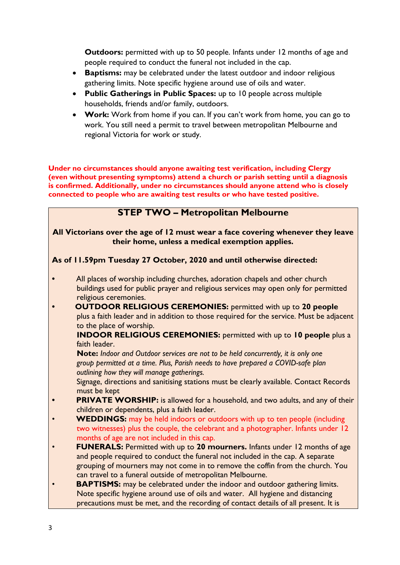**Outdoors:** permitted with up to 50 people. Infants under 12 months of age and people required to conduct the funeral not included in the cap.

- **Baptisms:** may be celebrated under the latest outdoor and indoor religious gathering limits. Note specific hygiene around use of oils and water.
- **Public Gatherings in Public Spaces:** up to 10 people across multiple households, friends and/or family, outdoors.
- **Work:** Work from home if you can. If you can't work from home, you can go to work. You still need a permit to travel between metropolitan Melbourne and regional Victoria for work or study.

**Under no circumstances should anyone awaiting test verification, including Clergy (even without presenting symptoms) attend a church or parish setting until a diagnosis is confirmed. Additionally, under no circumstances should anyone attend who is closely connected to people who are awaiting test results or who have tested positive.**

# **STEP TWO – Metropolitan Melbourne**

#### **All Victorians over the age of 12 must wear a face covering whenever they leave their home, unless a medical exemption applies.**

### **As of 11.59pm Tuesday 27 October, 2020 and until otherwise directed:**

- **•** All places of worship including churches, adoration chapels and other church buildings used for public prayer and religious services may open only for permitted religious ceremonies.
- **• OUTDOOR RELIGIOUS CEREMONIES:** permitted with up to **20 people** plus a faith leader and in addition to those required for the service. Must be adjacent to the place of worship.

 **INDOOR RELIGIOUS CEREMONIES:** permitted with up to **10 people** plus a faith leader.

 **Note:** *Indoor and Outdoor services are not to be held concurrently, it is only one group permitted at a time. Plus, Parish needs to have prepared a COVID-safe plan outlining how they will manage gatherings.*

 Signage, directions and sanitising stations must be clearly available. Contact Records must be kept

- **PRIVATE WORSHIP:** is allowed for a household, and two adults, and any of their children or dependents, plus a faith leader.
- **WEDDINGS:** may be held indoors or outdoors with up to ten people (including two witnesses) plus the couple, the celebrant and a photographer. Infants under 12 months of age are not included in this cap.
- **FUNERALS:** Permitted with up to **20 mourners.** Infants under 12 months of age and people required to conduct the funeral not included in the cap. A separate grouping of mourners may not come in to remove the coffin from the church. You can travel to a funeral outside of metropolitan Melbourne.
- **BAPTISMS:** may be celebrated under the indoor and outdoor gathering limits. Note specific hygiene around use of oils and water. All hygiene and distancing precautions must be met, and the recording of contact details of all present. It is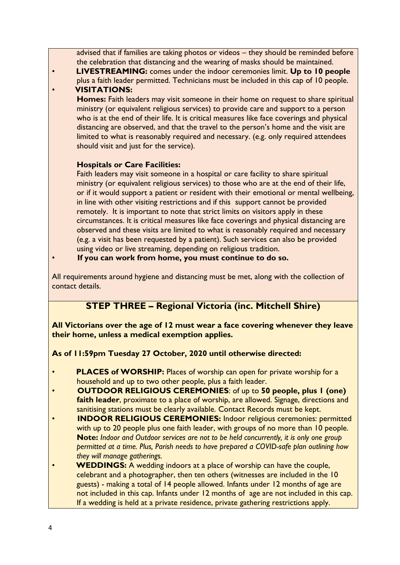advised that if families are taking photos or videos – they should be reminded before the celebration that distancing and the wearing of masks should be maintained.

• **LIVESTREAMING:** comes under the indoor ceremonies limit. **Up to 10 people** plus a faith leader permitted. Technicians must be included in this cap of 10 people. • **VISITATIONS:**

 **Homes:** Faith leaders may visit someone in their home on request to share spiritual ministry (or equivalent religious services) to provide care and support to a person who is at the end of their life. It is critical measures like face coverings and physical distancing are observed, and that the travel to the person's home and the visit are limited to what is reasonably required and necessary. (e.g. only required attendees should visit and just for the service).

## **Hospitals or Care Facilities:**

 Faith leaders may visit someone in a hospital or care facility to share spiritual ministry (or equivalent religious services) to those who are at the end of their life, or if it would support a patient or resident with their emotional or mental wellbeing, in line with other visiting restrictions and if this support cannot be provided remotely. It is important to note that strict limits on visitors apply in these circumstances. It is critical measures like face coverings and physical distancing are observed and these visits are limited to what is reasonably required and necessary (e.g. a visit has been requested by a patient). Such services can also be provided using video or live streaming, depending on religious tradition.

• **If you can work from home, you must continue to do so.**

All requirements around hygiene and distancing must be met, along with the collection of contact details.

# **STEP THREE – Regional Victoria (inc. Mitchell Shire)**

**All Victorians over the age of 12 must wear a face covering whenever they leave their home, unless a medical exemption applies.**

## **As of 11:59pm Tuesday 27 October, 2020 until otherwise directed:**

- **PLACES of WORSHIP:** Places of worship can open for private worship for a household and up to two other people, plus a faith leader.
- **OUTDOOR RELIGIOUS CEREMONIES**: of up to **50 people, plus 1 (one) faith leader**, proximate to a place of worship, are allowed. Signage, directions and sanitising stations must be clearly available. Contact Records must be kept.
- **INDOOR RELIGIOUS CEREMONIES:** Indoor religious ceremonies: permitted with up to 20 people plus one faith leader, with groups of no more than 10 people. **Note:** *Indoor and Outdoor services are not to be held concurrently, it is only one group permitted at a time. Plus, Parish needs to have prepared a COVID-safe plan outlining how they will manage gatherings.*
- **WEDDINGS:** A wedding indoors at a place of worship can have the couple, celebrant and a photographer, then ten others (witnesses are included in the 10 guests) - making a total of 14 people allowed. Infants under 12 months of age are not included in this cap. Infants under 12 months of age are not included in this cap. If a wedding is held at a private residence, private gathering restrictions apply.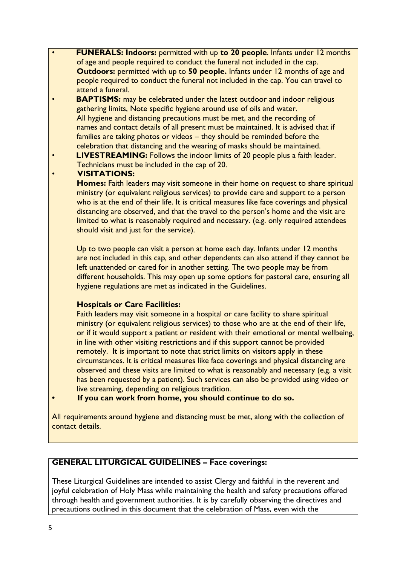- **FUNERALS: Indoors:** permitted with up **to 20 people**. Infants under 12 months of age and people required to conduct the funeral not included in the cap. **Outdoors:** permitted with up to **50 people.** Infants under 12 months of age and people required to conduct the funeral not included in the cap. You can travel to attend a funeral.
- **BAPTISMS:** may be celebrated under the latest outdoor and indoor religious gathering limits, Note specific hygiene around use of oils and water. All hygiene and distancing precautions must be met, and the recording of names and contact details of all present must be maintained. It is advised that if families are taking photos or videos – they should be reminded before the celebration that distancing and the wearing of masks should be maintained.
- **LIVESTREAMING:** Follows the indoor limits of 20 people plus a faith leader. Technicians must be included in the cap of 20.

### • **VISITATIONS:**

 **Homes:** Faith leaders may visit someone in their home on request to share spiritual ministry (or equivalent religious services) to provide care and support to a person who is at the end of their life. It is critical measures like face coverings and physical distancing are observed, and that the travel to the person's home and the visit are limited to what is reasonably required and necessary. (e.g. only required attendees should visit and just for the service).

 Up to two people can visit a person at home each day. Infants under 12 months are not included in this cap, and other dependents can also attend if they cannot be left unattended or cared for in another setting. The two people may be from different households. This may open up some options for pastoral care, ensuring all hygiene regulations are met as indicated in the Guidelines.

## **Hospitals or Care Facilities:**

 Faith leaders may visit someone in a hospital or care facility to share spiritual ministry (or equivalent religious services) to those who are at the end of their life, or if it would support a patient or resident with their emotional or mental wellbeing, in line with other visiting restrictions and if this support cannot be provided remotely. It is important to note that strict limits on visitors apply in these circumstances. It is critical measures like face coverings and physical distancing are observed and these visits are limited to what is reasonably and necessary (e.g. a visit has been requested by a patient). Such services can also be provided using video or live streaming, depending on religious tradition.

**• If you can work from home, you should continue to do so.**

All requirements around hygiene and distancing must be met, along with the collection of contact details.

## **GENERAL LITURGICAL GUIDELINES – Face coverings:**

These Liturgical Guidelines are intended to assist Clergy and faithful in the reverent and joyful celebration of Holy Mass while maintaining the health and safety precautions offered through health and government authorities. It is by carefully observing the directives and precautions outlined in this document that the celebration of Mass, even with the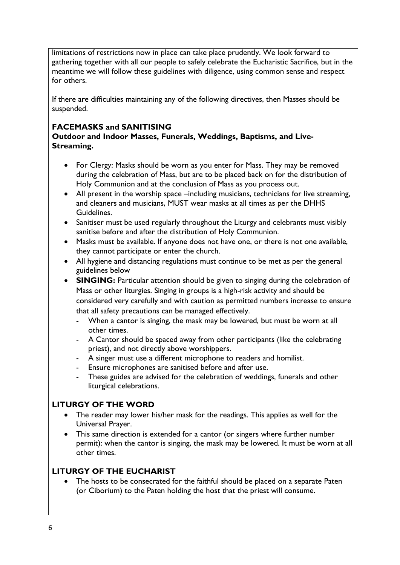limitations of restrictions now in place can take place prudently. We look forward to gathering together with all our people to safely celebrate the Eucharistic Sacrifice, but in the meantime we will follow these guidelines with diligence, using common sense and respect for others.

If there are difficulties maintaining any of the following directives, then Masses should be suspended.

# **FACEMASKS and SANITISING**

**Outdoor and Indoor Masses, Funerals, Weddings, Baptisms, and Live-Streaming.**

- For Clergy: Masks should be worn as you enter for Mass. They may be removed during the celebration of Mass, but are to be placed back on for the distribution of Holy Communion and at the conclusion of Mass as you process out.
- All present in the worship space –including musicians, technicians for live streaming, and cleaners and musicians, MUST wear masks at all times as per the DHHS Guidelines.
- Sanitiser must be used regularly throughout the Liturgy and celebrants must visibly sanitise before and after the distribution of Holy Communion.
- Masks must be available. If anyone does not have one, or there is not one available, they cannot participate or enter the church.
- All hygiene and distancing regulations must continue to be met as per the general guidelines below
- **SINGING:** Particular attention should be given to singing during the celebration of Mass or other liturgies. Singing in groups is a high-risk activity and should be considered very carefully and with caution as permitted numbers increase to ensure that all safety precautions can be managed effectively.
	- When a cantor is singing, the mask may be lowered, but must be worn at all other times.
	- A Cantor should be spaced away from other participants (like the celebrating priest), and not directly above worshippers.
	- A singer must use a different microphone to readers and homilist.
	- Ensure microphones are sanitised before and after use.
	- These guides are advised for the celebration of weddings, funerals and other liturgical celebrations.

# **LITURGY OF THE WORD**

- The reader may lower his/her mask for the readings. This applies as well for the Universal Prayer.
- This same direction is extended for a cantor (or singers where further number permit): when the cantor is singing, the mask may be lowered. It must be worn at all other times.

## **LITURGY OF THE EUCHARIST**

 The hosts to be consecrated for the faithful should be placed on a separate Paten (or Ciborium) to the Paten holding the host that the priest will consume.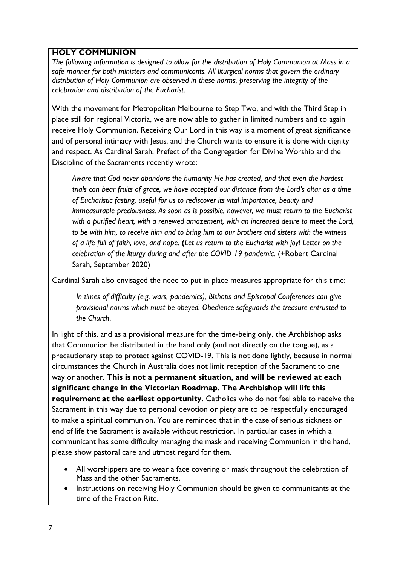## **HOLY COMMUNION**

*The following information is designed to allow for the distribution of Holy Communion at Mass in a safe manner for both ministers and communicants. All liturgical norms that govern the ordinary distribution of Holy Communion are observed in these norms, preserving the integrity of the celebration and distribution of the Eucharist.*

With the movement for Metropolitan Melbourne to Step Two, and with the Third Step in place still for regional Victoria, we are now able to gather in limited numbers and to again receive Holy Communion. Receiving Our Lord in this way is a moment of great significance and of personal intimacy with Jesus, and the Church wants to ensure it is done with dignity and respect. As Cardinal Sarah, Prefect of the Congregation for Divine Worship and the Discipline of the Sacraments recently wrote:

 *Aware that God never abandons the humanity He has created, and that even the hardest trials can bear fruits of grace, we have accepted our distance from the Lord's altar as a time of Eucharistic fasting, useful for us to rediscover its vital importance, beauty and immeasurable preciousness. As soon as is possible, however, we must return to the Eucharist with a purified heart, with a renewed amazement, with an increased desire to meet the Lord, to be with him, to receive him and to bring him to our brothers and sisters with the witness of a life full of faith, love, and hope.* **(***Let us return to the Eucharist with joy! Letter on the celebration of the liturgy during and after the COVID 19 pandemic.* (+Robert Cardinal Sarah, September 2020)

Cardinal Sarah also envisaged the need to put in place measures appropriate for this time:

*In times of difficulty (e.g. wars, pandemics), Bishops and Episcopal Conferences can give provisional norms which must be obeyed. Obedience safeguards the treasure entrusted to the Church*.

In light of this, and as a provisional measure for the time-being only, the Archbishop asks that Communion be distributed in the hand only (and not directly on the tongue), as a precautionary step to protect against COVID-19. This is not done lightly, because in normal circumstances the Church in Australia does not limit reception of the Sacrament to one way or another. **This is not a permanent situation, and will be reviewed at each significant change in the Victorian Roadmap. The Archbishop will lift this requirement at the earliest opportunity.** Catholics who do not feel able to receive the Sacrament in this way due to personal devotion or piety are to be respectfully encouraged to make a spiritual communion. You are reminded that in the case of serious sickness or end of life the Sacrament is available without restriction. In particular cases in which a communicant has some difficulty managing the mask and receiving Communion in the hand, please show pastoral care and utmost regard for them.

- All worshippers are to wear a face covering or mask throughout the celebration of Mass and the other Sacraments.
- Instructions on receiving Holy Communion should be given to communicants at the time of the Fraction Rite.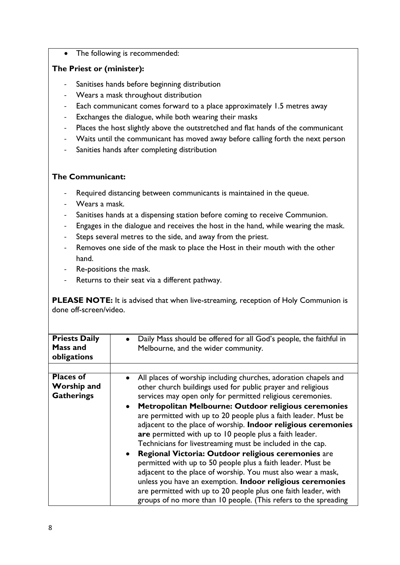• The following is recommended:

## **The Priest or (minister):**

- Sanitises hands before beginning distribution
- Wears a mask throughout distribution
- Each communicant comes forward to a place approximately 1.5 metres away
- Exchanges the dialogue, while both wearing their masks
- Places the host slightly above the outstretched and flat hands of the communicant
- Waits until the communicant has moved away before calling forth the next person
- Sanities hands after completing distribution

### **The Communicant:**

- Required distancing between communicants is maintained in the queue.
- Wears a mask.
- Sanitises hands at a dispensing station before coming to receive Communion.
- Engages in the dialogue and receives the host in the hand, while wearing the mask.
- Steps several metres to the side, and away from the priest.
- Removes one side of the mask to place the Host in their mouth with the other hand.
- Re-positions the mask.
- Returns to their seat via a different pathway.

**PLEASE NOTE:** It is advised that when live-streaming, reception of Holy Communion is done off-screen/video.

| <b>Priests Daily</b><br>Mass and<br>obligations             | Daily Mass should be offered for all God's people, the faithful in<br>Melbourne, and the wider community.                                                                                                                                                                                                                                                                                                                                                                                                                                                                                                                                                                                                                                                                                                                                                                                                              |
|-------------------------------------------------------------|------------------------------------------------------------------------------------------------------------------------------------------------------------------------------------------------------------------------------------------------------------------------------------------------------------------------------------------------------------------------------------------------------------------------------------------------------------------------------------------------------------------------------------------------------------------------------------------------------------------------------------------------------------------------------------------------------------------------------------------------------------------------------------------------------------------------------------------------------------------------------------------------------------------------|
|                                                             |                                                                                                                                                                                                                                                                                                                                                                                                                                                                                                                                                                                                                                                                                                                                                                                                                                                                                                                        |
| <b>Places of</b><br><b>Worship and</b><br><b>Gatherings</b> | All places of worship including churches, adoration chapels and<br>other church buildings used for public prayer and religious<br>services may open only for permitted religious ceremonies.<br>Metropolitan Melbourne: Outdoor religious ceremonies<br>$\bullet$<br>are permitted with up to 20 people plus a faith leader. Must be<br>adjacent to the place of worship. Indoor religious ceremonies<br>are permitted with up to 10 people plus a faith leader.<br>Technicians for livestreaming must be included in the cap.<br>Regional Victoria: Outdoor religious ceremonies are<br>permitted with up to 50 people plus a faith leader. Must be<br>adjacent to the place of worship. You must also wear a mask,<br>unless you have an exemption. Indoor religious ceremonies<br>are permitted with up to 20 people plus one faith leader, with<br>groups of no more than 10 people. (This refers to the spreading |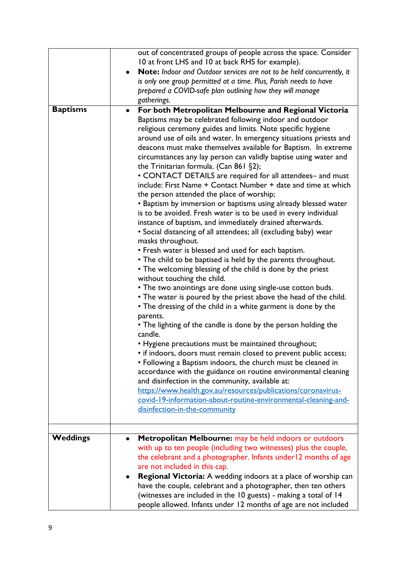|                 | out of concentrated groups of people across the space. Consider<br>10 at front LHS and 10 at back RHS for example).<br>Note: Indoor and Outdoor services are not to be held concurrently, it<br>is only one group permitted at a time. Plus, Parish needs to have<br>prepared a COVID-safe plan outlining how they will manage<br>gatherings.                                                                                                                                                                                                                                                                                                                                                                                                                                                                                                                                                                                                                                                                                                                                                                                                                                                                                                                                                                                                                                                                                                                                                                                                                                                                                                                                                                                                                                                                                                                                                                                   |
|-----------------|---------------------------------------------------------------------------------------------------------------------------------------------------------------------------------------------------------------------------------------------------------------------------------------------------------------------------------------------------------------------------------------------------------------------------------------------------------------------------------------------------------------------------------------------------------------------------------------------------------------------------------------------------------------------------------------------------------------------------------------------------------------------------------------------------------------------------------------------------------------------------------------------------------------------------------------------------------------------------------------------------------------------------------------------------------------------------------------------------------------------------------------------------------------------------------------------------------------------------------------------------------------------------------------------------------------------------------------------------------------------------------------------------------------------------------------------------------------------------------------------------------------------------------------------------------------------------------------------------------------------------------------------------------------------------------------------------------------------------------------------------------------------------------------------------------------------------------------------------------------------------------------------------------------------------------|
| <b>Baptisms</b> | For both Metropolitan Melbourne and Regional Victoria<br>$\bullet$<br>Baptisms may be celebrated following indoor and outdoor<br>religious ceremony guides and limits. Note specific hygiene<br>around use of oils and water. In emergency situations priests and<br>deacons must make themselves available for Baptism. In extreme<br>circumstances any lay person can validly baptise using water and<br>the Trinitarian formula. (Can 861 §2);<br>• CONTACT DETAILS are required for all attendees- and must<br>include: First Name + Contact Number + date and time at which<br>the person attended the place of worship;<br>• Baptism by immersion or baptisms using already blessed water<br>is to be avoided. Fresh water is to be used in every individual<br>instance of baptism, and immediately drained afterwards.<br>· Social distancing of all attendees; all (excluding baby) wear<br>masks throughout.<br>• Fresh water is blessed and used for each baptism.<br>• The child to be baptised is held by the parents throughout.<br>• The welcoming blessing of the child is done by the priest<br>without touching the child.<br>• The two anointings are done using single-use cotton buds.<br>• The water is poured by the priest above the head of the child.<br>• The dressing of the child in a white garment is done by the<br>parents.<br>• The lighting of the candle is done by the person holding the<br>candle.<br>• Hygiene precautions must be maintained throughout;<br>• if indoors, doors must remain closed to prevent public access;<br>• Following a Baptism indoors, the church must be cleaned in<br>accordance with the guidance on routine environmental cleaning<br>and disinfection in the community, available at:<br>https://www.health.gov.au/resources/publications/coronavirus-<br>covid-19-information-about-routine-environmental-cleaning-and-<br>disinfection-in-the-community |
| Weddings        | Metropolitan Melbourne: may be held indoors or outdoors<br>with up to ten people (including two witnesses) plus the couple,<br>the celebrant and a photographer. Infants under 12 months of age<br>are not included in this cap.<br>Regional Victoria: A wedding indoors at a place of worship can<br>have the couple, celebrant and a photographer, then ten others<br>(witnesses are included in the 10 guests) - making a total of 14<br>people allowed. Infants under 12 months of age are not included                                                                                                                                                                                                                                                                                                                                                                                                                                                                                                                                                                                                                                                                                                                                                                                                                                                                                                                                                                                                                                                                                                                                                                                                                                                                                                                                                                                                                     |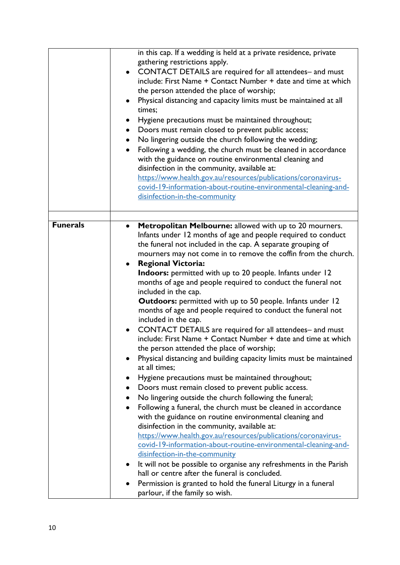|                 | in this cap. If a wedding is held at a private residence, private<br>gathering restrictions apply.<br>CONTACT DETAILS are required for all attendees- and must<br>include: First Name + Contact Number + date and time at which<br>the person attended the place of worship;<br>Physical distancing and capacity limits must be maintained at all<br>times;<br>Hygiene precautions must be maintained throughout;<br>Doors must remain closed to prevent public access;<br>$\bullet$<br>No lingering outside the church following the wedding;<br>٠<br>Following a wedding, the church must be cleaned in accordance<br>with the guidance on routine environmental cleaning and<br>disinfection in the community, available at:<br>https://www.health.gov.au/resources/publications/coronavirus-<br>covid-19-information-about-routine-environmental-cleaning-and-<br>disinfection-in-the-community                                                                                                                                                                                                                                                                                                                                                                                                                                                                                                                                                                                                                                                                                                                                             |
|-----------------|-------------------------------------------------------------------------------------------------------------------------------------------------------------------------------------------------------------------------------------------------------------------------------------------------------------------------------------------------------------------------------------------------------------------------------------------------------------------------------------------------------------------------------------------------------------------------------------------------------------------------------------------------------------------------------------------------------------------------------------------------------------------------------------------------------------------------------------------------------------------------------------------------------------------------------------------------------------------------------------------------------------------------------------------------------------------------------------------------------------------------------------------------------------------------------------------------------------------------------------------------------------------------------------------------------------------------------------------------------------------------------------------------------------------------------------------------------------------------------------------------------------------------------------------------------------------------------------------------------------------------------------------------|
|                 |                                                                                                                                                                                                                                                                                                                                                                                                                                                                                                                                                                                                                                                                                                                                                                                                                                                                                                                                                                                                                                                                                                                                                                                                                                                                                                                                                                                                                                                                                                                                                                                                                                                 |
| <b>Funerals</b> |                                                                                                                                                                                                                                                                                                                                                                                                                                                                                                                                                                                                                                                                                                                                                                                                                                                                                                                                                                                                                                                                                                                                                                                                                                                                                                                                                                                                                                                                                                                                                                                                                                                 |
|                 | Metropolitan Melbourne: allowed with up to 20 mourners.<br>Infants under 12 months of age and people required to conduct<br>the funeral not included in the cap. A separate grouping of<br>mourners may not come in to remove the coffin from the church.<br><b>Regional Victoria:</b><br>٠<br>Indoors: permitted with up to 20 people. Infants under 12<br>months of age and people required to conduct the funeral not<br>included in the cap.<br><b>Outdoors:</b> permitted with up to 50 people. Infants under 12<br>months of age and people required to conduct the funeral not<br>included in the cap.<br>CONTACT DETAILS are required for all attendees- and must<br>include: First Name + Contact Number + date and time at which<br>the person attended the place of worship;<br>Physical distancing and building capacity limits must be maintained<br>at all times;<br>Hygiene precautions must be maintained throughout;<br>Doors must remain closed to prevent public access.<br>No lingering outside the church following the funeral;<br>Following a funeral, the church must be cleaned in accordance<br>$\bullet$<br>with the guidance on routine environmental cleaning and<br>disinfection in the community, available at:<br>https://www.health.gov.au/resources/publications/coronavirus-<br>covid-19-information-about-routine-environmental-cleaning-and-<br>disinfection-in-the-community<br>It will not be possible to organise any refreshments in the Parish<br>hall or centre after the funeral is concluded.<br>Permission is granted to hold the funeral Liturgy in a funeral<br>parlour, if the family so wish. |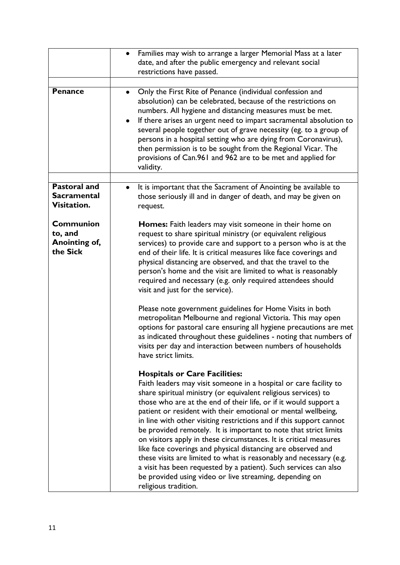|                                                          | Families may wish to arrange a larger Memorial Mass at a later<br>$\bullet$<br>date, and after the public emergency and relevant social<br>restrictions have passed.                                                                                                                                                                                                                                                                                                                                                                                                                                                                                                                                                                                                                                                          |
|----------------------------------------------------------|-------------------------------------------------------------------------------------------------------------------------------------------------------------------------------------------------------------------------------------------------------------------------------------------------------------------------------------------------------------------------------------------------------------------------------------------------------------------------------------------------------------------------------------------------------------------------------------------------------------------------------------------------------------------------------------------------------------------------------------------------------------------------------------------------------------------------------|
| <b>Penance</b>                                           | Only the First Rite of Penance (individual confession and<br>absolution) can be celebrated, because of the restrictions on<br>numbers. All hygiene and distancing measures must be met.<br>If there arises an urgent need to impart sacramental absolution to<br>٠<br>several people together out of grave necessity (eg. to a group of<br>persons in a hospital setting who are dying from Coronavirus),<br>then permission is to be sought from the Regional Vicar. The<br>provisions of Can.961 and 962 are to be met and applied for<br>validity.                                                                                                                                                                                                                                                                         |
| <b>Pastoral and</b><br><b>Sacramental</b><br>Visitation. | It is important that the Sacrament of Anointing be available to<br>$\bullet$<br>those seriously ill and in danger of death, and may be given on<br>request.                                                                                                                                                                                                                                                                                                                                                                                                                                                                                                                                                                                                                                                                   |
| <b>Communion</b><br>to, and<br>Anointing of,<br>the Sick | <b>Homes:</b> Faith leaders may visit someone in their home on<br>request to share spiritual ministry (or equivalent religious<br>services) to provide care and support to a person who is at the<br>end of their life. It is critical measures like face coverings and<br>physical distancing are observed, and that the travel to the<br>person's home and the visit are limited to what is reasonably<br>required and necessary (e.g. only required attendees should<br>visit and just for the service).                                                                                                                                                                                                                                                                                                                   |
|                                                          | Please note government guidelines for Home Visits in both<br>metropolitan Melbourne and regional Victoria. This may open<br>options for pastoral care ensuring all hygiene precautions are met<br>as indicated throughout these guidelines - noting that numbers of<br>visits per day and interaction between numbers of households<br>have strict limits.                                                                                                                                                                                                                                                                                                                                                                                                                                                                    |
|                                                          | <b>Hospitals or Care Facilities:</b><br>Faith leaders may visit someone in a hospital or care facility to<br>share spiritual ministry (or equivalent religious services) to<br>those who are at the end of their life, or if it would support a<br>patient or resident with their emotional or mental wellbeing,<br>in line with other visiting restrictions and if this support cannot<br>be provided remotely. It is important to note that strict limits<br>on visitors apply in these circumstances. It is critical measures<br>like face coverings and physical distancing are observed and<br>these visits are limited to what is reasonably and necessary (e.g.<br>a visit has been requested by a patient). Such services can also<br>be provided using video or live streaming, depending on<br>religious tradition. |